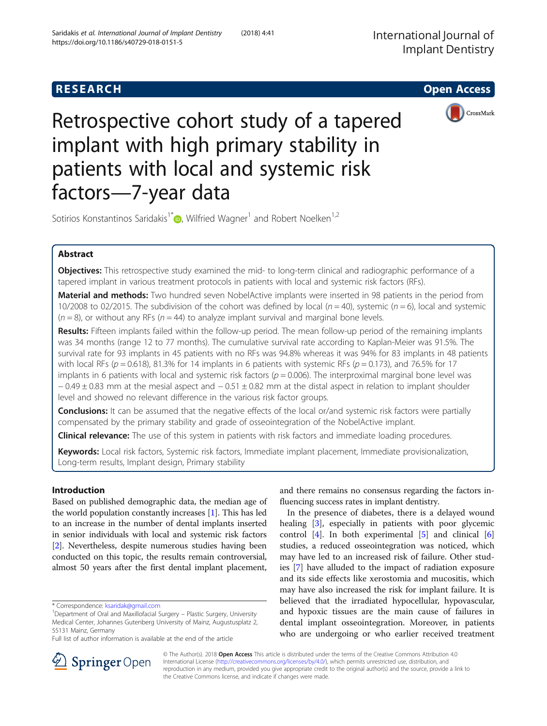



# Retrospective cohort study of a tapered implant with high primary stability in patients with local and systemic risk factors—7-year data

Sotirios Konstantinos Saridakis<sup>1\*</sup> $\bullet$ [,](http://orcid.org/0000-0002-0390-705X) Wilfried Wagner<sup>1</sup> and Robert Noelken<sup>1,2</sup>

# Abstract

**Objectives:** This retrospective study examined the mid- to long-term clinical and radiographic performance of a tapered implant in various treatment protocols in patients with local and systemic risk factors (RFs).

Material and methods: Two hundred seven NobelActive implants were inserted in 98 patients in the period from 10/2008 to 02/2015. The subdivision of the cohort was defined by local ( $n = 40$ ), systemic ( $n = 6$ ), local and systemic  $(n = 8)$ , or without any RFs  $(n = 44)$  to analyze implant survival and marginal bone levels.

Results: Fifteen implants failed within the follow-up period. The mean follow-up period of the remaining implants was 34 months (range 12 to 77 months). The cumulative survival rate according to Kaplan-Meier was 91.5%. The survival rate for 93 implants in 45 patients with no RFs was 94.8% whereas it was 94% for 83 implants in 48 patients with local RFs ( $p = 0.618$ ), 81.3% for 14 implants in 6 patients with systemic RFs ( $p = 0.173$ ), and 76.5% for 17 implants in 6 patients with local and systemic risk factors ( $p = 0.006$ ). The interproximal marginal bone level was − 0.49 ± 0.83 mm at the mesial aspect and − 0.51 ± 0.82 mm at the distal aspect in relation to implant shoulder level and showed no relevant difference in the various risk factor groups.

Conclusions: It can be assumed that the negative effects of the local or/and systemic risk factors were partially compensated by the primary stability and grade of osseointegration of the NobelActive implant.

**Clinical relevance:** The use of this system in patients with risk factors and immediate loading procedures.

Keywords: Local risk factors, Systemic risk factors, Immediate implant placement, Immediate provisionalization, Long-term results, Implant design, Primary stability

# Introduction

Based on published demographic data, the median age of the world population constantly increases [\[1](#page-6-0)]. This has led to an increase in the number of dental implants inserted in senior individuals with local and systemic risk factors [[2\]](#page-6-0). Nevertheless, despite numerous studies having been conducted on this topic, the results remain controversial, almost 50 years after the first dental implant placement,

and there remains no consensus regarding the factors influencing success rates in implant dentistry.

In the presence of diabetes, there is a delayed wound healing [[3\]](#page-6-0), especially in patients with poor glycemic control [[4\]](#page-6-0). In both experimental [[5\]](#page-6-0) and clinical [\[6](#page-6-0)] studies, a reduced osseointegration was noticed, which may have led to an increased risk of failure. Other studies [\[7](#page-6-0)] have alluded to the impact of radiation exposure and its side effects like xerostomia and mucositis, which may have also increased the risk for implant failure. It is believed that the irradiated hypocellular, hypovascular, and hypoxic tissues are the main cause of failures in dental implant osseointegration. Moreover, in patients who are undergoing or who earlier received treatment



© The Author(s). 2018 Open Access This article is distributed under the terms of the Creative Commons Attribution 4.0 International License ([http://creativecommons.org/licenses/by/4.0/\)](http://creativecommons.org/licenses/by/4.0/), which permits unrestricted use, distribution, and reproduction in any medium, provided you give appropriate credit to the original author(s) and the source, provide a link to the Creative Commons license, and indicate if changes were made.

<sup>\*</sup> Correspondence: [ksaridak@gmail.com](mailto:ksaridak@gmail.com) <sup>1</sup>

<sup>&</sup>lt;sup>1</sup>Department of Oral and Maxillofacial Surgery - Plastic Surgery, University Medical Center, Johannes Gutenberg University of Mainz, Augustusplatz 2, 55131 Mainz, Germany

Full list of author information is available at the end of the article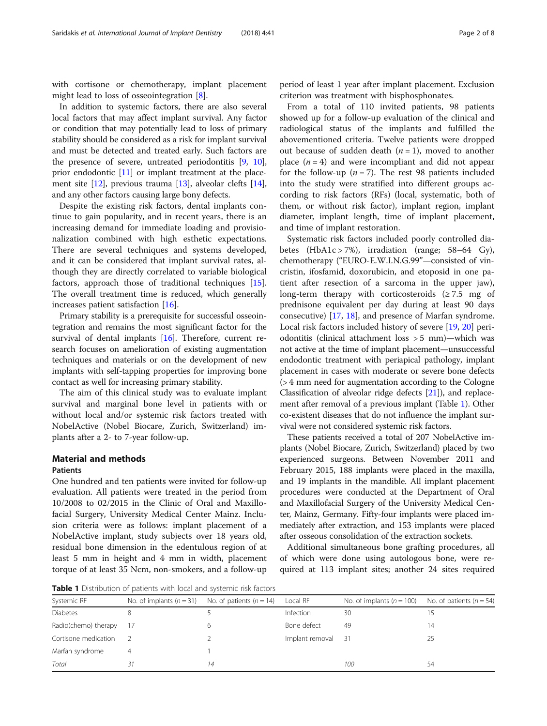with cortisone or chemotherapy, implant placement might lead to loss of osseointegration [\[8](#page-6-0)].

In addition to systemic factors, there are also several local factors that may affect implant survival. Any factor or condition that may potentially lead to loss of primary stability should be considered as a risk for implant survival and must be detected and treated early. Such factors are the presence of severe, untreated periodontitis [\[9](#page-6-0), [10](#page-6-0)], prior endodontic [\[11\]](#page-6-0) or implant treatment at the placement site [\[12\]](#page-6-0), previous trauma [\[13](#page-6-0)], alveolar clefts [[14](#page-6-0)], and any other factors causing large bony defects.

Despite the existing risk factors, dental implants continue to gain popularity, and in recent years, there is an increasing demand for immediate loading and provisionalization combined with high esthetic expectations. There are several techniques and systems developed, and it can be considered that implant survival rates, although they are directly correlated to variable biological factors, approach those of traditional techniques [\[15](#page-6-0)]. The overall treatment time is reduced, which generally increases patient satisfaction [[16](#page-6-0)].

Primary stability is a prerequisite for successful osseointegration and remains the most significant factor for the survival of dental implants [\[16\]](#page-6-0). Therefore, current research focuses on amelioration of existing augmentation techniques and materials or on the development of new implants with self-tapping properties for improving bone contact as well for increasing primary stability.

The aim of this clinical study was to evaluate implant survival and marginal bone level in patients with or without local and/or systemic risk factors treated with NobelActive (Nobel Biocare, Zurich, Switzerland) implants after a 2- to 7-year follow-up.

#### Material and methods

#### Patients

One hundred and ten patients were invited for follow-up evaluation. All patients were treated in the period from 10/2008 to 02/2015 in the Clinic of Oral and Maxillofacial Surgery, University Medical Center Mainz. Inclusion criteria were as follows: implant placement of a NobelActive implant, study subjects over 18 years old, residual bone dimension in the edentulous region of at least 5 mm in height and 4 mm in width, placement torque of at least 35 Ncm, non-smokers, and a follow-up

period of least 1 year after implant placement. Exclusion criterion was treatment with bisphosphonates.

From a total of 110 invited patients, 98 patients showed up for a follow-up evaluation of the clinical and radiological status of the implants and fulfilled the abovementioned criteria. Twelve patients were dropped out because of sudden death  $(n = 1)$ , moved to another place  $(n = 4)$  and were incompliant and did not appear for the follow-up  $(n = 7)$ . The rest 98 patients included into the study were stratified into different groups according to risk factors (RFs) (local, systematic, both of them, or without risk factor), implant region, implant diameter, implant length, time of implant placement, and time of implant restoration.

Systematic risk factors included poorly controlled diabetes (HbA1c > 7%), irradiation (range; 58–64 Gy), chemotherapy ("EURO-E.W.I.N.G.99"—consisted of vincristin, ifosfamid, doxorubicin, and etoposid in one patient after resection of a sarcoma in the upper jaw), long-term therapy with corticosteroids  $(≥ 7.5$  mg of prednisone equivalent per day during at least 90 days consecutive) [[17,](#page-6-0) [18\]](#page-6-0), and presence of Marfan syndrome. Local risk factors included history of severe [[19](#page-6-0), [20](#page-6-0)] periodontitis (clinical attachment loss > 5 mm)—which was not active at the time of implant placement—unsuccessful endodontic treatment with periapical pathology, implant placement in cases with moderate or severe bone defects (> 4 mm need for augmentation according to the Cologne Classification of alveolar ridge defects [\[21](#page-6-0)]), and replacement after removal of a previous implant (Table 1). Other co-existent diseases that do not influence the implant survival were not considered systemic risk factors.

These patients received a total of 207 NobelActive implants (Nobel Biocare, Zurich, Switzerland) placed by two experienced surgeons. Between November 2011 and February 2015, 188 implants were placed in the maxilla, and 19 implants in the mandible. All implant placement procedures were conducted at the Department of Oral and Maxillofacial Surgery of the University Medical Center, Mainz, Germany. Fifty-four implants were placed immediately after extraction, and 153 implants were placed after osseous consolidation of the extraction sockets.

Additional simultaneous bone grafting procedures, all of which were done using autologous bone, were required at 113 implant sites; another 24 sites required

Table 1 Distribution of patients with local and systemic risk factors

| <b>I WAS TO AN ARTICLE OF PUTICITION</b> WITH TOCAL ANTOLOGY STOLEN TO THOROGY S |                            |                            |                 |                             |                              |  |  |  |  |
|----------------------------------------------------------------------------------|----------------------------|----------------------------|-----------------|-----------------------------|------------------------------|--|--|--|--|
| Systemic RF                                                                      | No. of implants $(n = 31)$ | No. of patients $(n = 14)$ | Local RF        | No. of implants $(n = 100)$ | No. of patients ( $n = 54$ ) |  |  |  |  |
| <b>Diabetes</b>                                                                  |                            |                            | Infection       | 30                          |                              |  |  |  |  |
| Radio(chemo) therapy                                                             |                            |                            | Bone defect     | 49                          | 14                           |  |  |  |  |
| Cortisone medication                                                             |                            |                            | Implant removal | - 31                        | 25                           |  |  |  |  |
| Marfan syndrome                                                                  |                            |                            |                 |                             |                              |  |  |  |  |
| Total                                                                            |                            | 14                         |                 | 100                         | 54                           |  |  |  |  |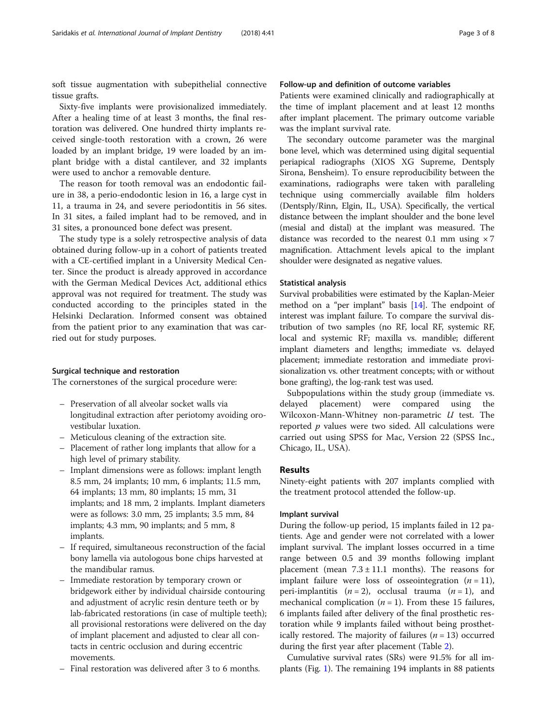soft tissue augmentation with subepithelial connective tissue grafts.

Sixty-five implants were provisionalized immediately. After a healing time of at least 3 months, the final restoration was delivered. One hundred thirty implants received single-tooth restoration with a crown, 26 were loaded by an implant bridge, 19 were loaded by an implant bridge with a distal cantilever, and 32 implants were used to anchor a removable denture.

The reason for tooth removal was an endodontic failure in 38, a perio-endodontic lesion in 16, a large cyst in 11, a trauma in 24, and severe periodontitis in 56 sites. In 31 sites, a failed implant had to be removed, and in 31 sites, a pronounced bone defect was present.

The study type is a solely retrospective analysis of data obtained during follow-up in a cohort of patients treated with a CE-certified implant in a University Medical Center. Since the product is already approved in accordance with the German Medical Devices Act, additional ethics approval was not required for treatment. The study was conducted according to the principles stated in the Helsinki Declaration. Informed consent was obtained from the patient prior to any examination that was carried out for study purposes.

#### Surgical technique and restoration

The cornerstones of the surgical procedure were:

- Preservation of all alveolar socket walls via longitudinal extraction after periotomy avoiding orovestibular luxation.
- Meticulous cleaning of the extraction site.
- Placement of rather long implants that allow for a high level of primary stability.
- Implant dimensions were as follows: implant length 8.5 mm, 24 implants; 10 mm, 6 implants; 11.5 mm, 64 implants; 13 mm, 80 implants; 15 mm, 31 implants; and 18 mm, 2 implants. Implant diameters were as follows: 3.0 mm, 25 implants; 3.5 mm, 84 implants; 4.3 mm, 90 implants; and 5 mm, 8 implants.
- If required, simultaneous reconstruction of the facial bony lamella via autologous bone chips harvested at the mandibular ramus.
- Immediate restoration by temporary crown or bridgework either by individual chairside contouring and adjustment of acrylic resin denture teeth or by lab-fabricated restorations (in case of multiple teeth); all provisional restorations were delivered on the day of implant placement and adjusted to clear all contacts in centric occlusion and during eccentric movements.
- Final restoration was delivered after 3 to 6 months.

#### Follow-up and definition of outcome variables

Patients were examined clinically and radiographically at the time of implant placement and at least 12 months after implant placement. The primary outcome variable was the implant survival rate.

The secondary outcome parameter was the marginal bone level, which was determined using digital sequential periapical radiographs (XIOS XG Supreme, Dentsply Sirona, Bensheim). To ensure reproducibility between the examinations, radiographs were taken with paralleling technique using commercially available film holders (Dentsply/Rinn, Elgin, IL, USA). Specifically, the vertical distance between the implant shoulder and the bone level (mesial and distal) at the implant was measured. The distance was recorded to the nearest 0.1 mm using  $\times$  7 magnification. Attachment levels apical to the implant shoulder were designated as negative values.

#### Statistical analysis

Survival probabilities were estimated by the Kaplan-Meier method on a "per implant" basis [[14](#page-6-0)]. The endpoint of interest was implant failure. To compare the survival distribution of two samples (no RF, local RF, systemic RF, local and systemic RF; maxilla vs. mandible; different implant diameters and lengths; immediate vs. delayed placement; immediate restoration and immediate provisionalization vs. other treatment concepts; with or without bone grafting), the log-rank test was used.

Subpopulations within the study group (immediate vs. delayed placement) were compared using the Wilcoxon-Mann-Whitney non-parametric  $U$  test. The reported  $p$  values were two sided. All calculations were carried out using SPSS for Mac, Version 22 (SPSS Inc., Chicago, IL, USA).

## Results

Ninety-eight patients with 207 implants complied with the treatment protocol attended the follow-up.

#### Implant survival

During the follow-up period, 15 implants failed in 12 patients. Age and gender were not correlated with a lower implant survival. The implant losses occurred in a time range between 0.5 and 39 months following implant placement (mean  $7.3 \pm 11.1$  months). The reasons for implant failure were loss of osseointegration  $(n = 11)$ , peri-implantitis  $(n = 2)$ , occlusal trauma  $(n = 1)$ , and mechanical complication ( $n = 1$ ). From these 15 failures, 6 implants failed after delivery of the final prosthetic restoration while 9 implants failed without being prosthetically restored. The majority of failures ( $n = 13$ ) occurred during the first year after placement (Table [2\)](#page-3-0).

Cumulative survival rates (SRs) were 91.5% for all implants (Fig. [1](#page-3-0)). The remaining 194 implants in 88 patients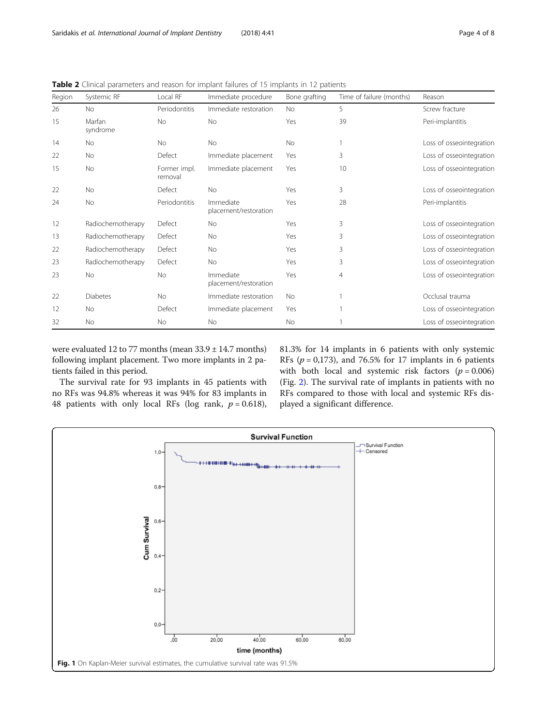| Region | Systemic RF        | Local RF                | Immediate procedure                | Bone grafting | Time of failure (months) | Reason                   |
|--------|--------------------|-------------------------|------------------------------------|---------------|--------------------------|--------------------------|
| 26     | <b>No</b>          | Periodontitis           | Immediate restoration              | <b>No</b>     | 5                        | Screw fracture           |
| 15     | Marfan<br>syndrome | <b>No</b>               | No                                 | Yes           | 39                       | Peri-implantitis         |
| 14     | No                 | <b>No</b>               | <b>No</b>                          | No            |                          | Loss of osseointegration |
| 22     | No                 | Defect                  | Immediate placement                | Yes           | 3                        | Loss of osseointegration |
| 15     | No                 | Former impl.<br>removal | Immediate placement                | Yes           | 10 <sup>°</sup>          | Loss of osseointegration |
| 22     | No                 | Defect                  | <b>No</b>                          | Yes           | 3                        | Loss of osseointegration |
| 24     | No                 | Periodontitis           | Immediate<br>placement/restoration | Yes           | 28                       | Peri-implantitis         |
| 12     | Radiochemotherapy  | Defect                  | No                                 | Yes           | 3                        | Loss of osseointegration |
| 13     | Radiochemotherapy  | Defect                  | No                                 | Yes           | 3                        | Loss of osseointegration |
| 22     | Radiochemotherapy  | Defect                  | <b>No</b>                          | Yes           | 3                        | Loss of osseointegration |
| 23     | Radiochemotherapy  | Defect                  | <b>No</b>                          | Yes           | $\overline{3}$           | Loss of osseointegration |
| 23     | No                 | <b>No</b>               | Immediate<br>placement/restoration | Yes           | $\overline{4}$           | Loss of osseointegration |
| 22     | Diabetes           | <b>No</b>               | Immediate restoration              | <b>No</b>     |                          | Occlusal trauma          |
| 12     | No                 | Defect                  | Immediate placement                | Yes           |                          | Loss of osseointegration |
| 32     | <b>No</b>          | <b>No</b>               | <b>No</b>                          | <b>No</b>     |                          | Loss of osseointegration |

<span id="page-3-0"></span>Table 2 Clinical parameters and reason for implant failures of 15 implants in 12 patients

were evaluated 12 to 77 months (mean 33.9 ± 14.7 months) following implant placement. Two more implants in 2 patients failed in this period.

The survival rate for 93 implants in 45 patients with no RFs was 94.8% whereas it was 94% for 83 implants in 48 patients with only local RFs (log rank,  $p = 0.618$ ), 81.3% for 14 implants in 6 patients with only systemic RFs ( $p = 0.173$ ), and 76.5% for 17 implants in 6 patients with both local and systemic risk factors  $(p = 0.006)$ (Fig. [2](#page-4-0)). The survival rate of implants in patients with no RFs compared to those with local and systemic RFs displayed a significant difference.

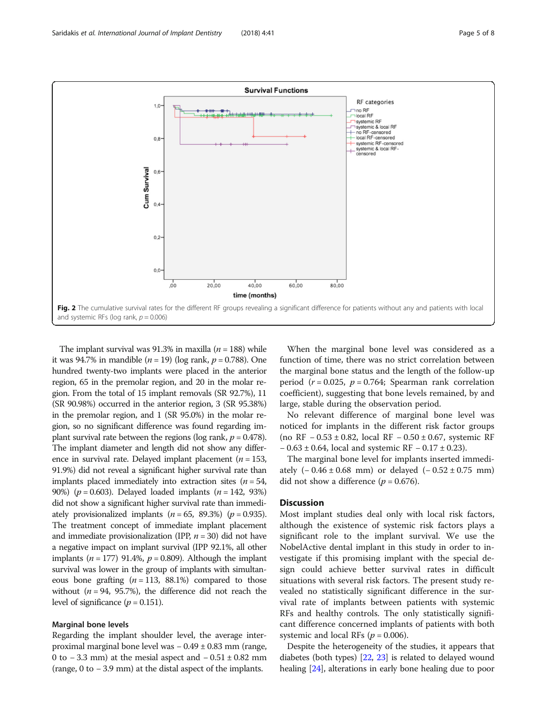<span id="page-4-0"></span>

The implant survival was 91.3% in maxilla ( $n = 188$ ) while it was 94.7% in mandible  $(n = 19)$  (log rank,  $p = 0.788$ ). One hundred twenty-two implants were placed in the anterior region, 65 in the premolar region, and 20 in the molar region. From the total of 15 implant removals (SR 92.7%), 11 (SR 90.98%) occurred in the anterior region, 3 (SR 95.38%) in the premolar region, and 1 (SR 95.0%) in the molar region, so no significant difference was found regarding implant survival rate between the regions (log rank,  $p = 0.478$ ). The implant diameter and length did not show any difference in survival rate. Delayed implant placement ( $n = 153$ , 91.9%) did not reveal a significant higher survival rate than implants placed immediately into extraction sites ( $n = 54$ , 90%) ( $p = 0.603$ ). Delayed loaded implants ( $n = 142, 93%$ ) did not show a significant higher survival rate than immediately provisionalized implants  $(n = 65, 89.3\%)$   $(p = 0.935)$ . The treatment concept of immediate implant placement and immediate provisionalization (IPP,  $n = 30$ ) did not have a negative impact on implant survival (IPP 92.1%, all other implants ( $n = 177$ ) 91.4%,  $p = 0.809$ ). Although the implant survival was lower in the group of implants with simultaneous bone grafting  $(n = 113, 88.1\%)$  compared to those without ( $n = 94$ , 95.7%), the difference did not reach the level of significance ( $p = 0.151$ ).

#### Marginal bone levels

Regarding the implant shoulder level, the average interproximal marginal bone level was − 0.49 ± 0.83 mm (range, 0 to − 3.3 mm) at the mesial aspect and  $-$  0.51  $\pm$  0.82 mm (range, 0 to − 3.9 mm) at the distal aspect of the implants.

When the marginal bone level was considered as a function of time, there was no strict correlation between the marginal bone status and the length of the follow-up period ( $r = 0.025$ ,  $p = 0.764$ ; Spearman rank correlation coefficient), suggesting that bone levels remained, by and large, stable during the observation period.

No relevant difference of marginal bone level was noticed for implants in the different risk factor groups (no RF − 0.53 ± 0.82, local RF − 0.50 ± 0.67, systemic RF − 0.63 ± 0.64, local and systemic RF − 0.17 ± 0.23).

The marginal bone level for implants inserted immediately  $(-0.46 \pm 0.68$  mm) or delayed  $(-0.52 \pm 0.75$  mm) did not show a difference ( $p = 0.676$ ).

#### **Discussion**

Most implant studies deal only with local risk factors, although the existence of systemic risk factors plays a significant role to the implant survival. We use the NobelActive dental implant in this study in order to investigate if this promising implant with the special design could achieve better survival rates in difficult situations with several risk factors. The present study revealed no statistically significant difference in the survival rate of implants between patients with systemic RFs and healthy controls. The only statistically significant difference concerned implants of patients with both systemic and local RFs ( $p = 0.006$ ).

Despite the heterogeneity of the studies, it appears that diabetes (both types) [\[22,](#page-6-0) [23\]](#page-6-0) is related to delayed wound healing [[24](#page-6-0)], alterations in early bone healing due to poor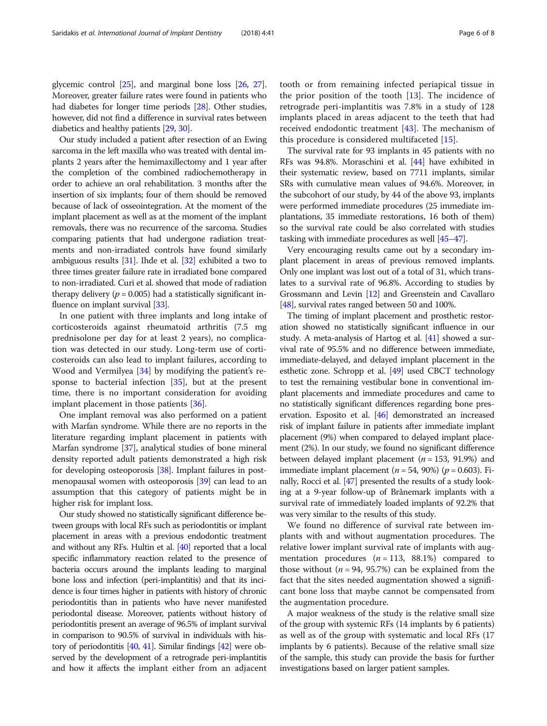glycemic control [\[25\]](#page-6-0), and marginal bone loss [\[26,](#page-6-0) [27](#page-6-0)]. Moreover, greater failure rates were found in patients who had diabetes for longer time periods [\[28\]](#page-6-0). Other studies, however, did not find a difference in survival rates between diabetics and healthy patients [\[29,](#page-7-0) [30\]](#page-7-0).

Our study included a patient after resection of an Ewing sarcoma in the left maxilla who was treated with dental implants 2 years after the hemimaxillectomy and 1 year after the completion of the combined radiochemotherapy in order to achieve an oral rehabilitation. 3 months after the insertion of six implants; four of them should be removed because of lack of osseointegration. At the moment of the implant placement as well as at the moment of the implant removals, there was no recurrence of the sarcoma. Studies comparing patients that had undergone radiation treatments and non-irradiated controls have found similarly ambiguous results [[31](#page-7-0)]. Ihde et al. [[32](#page-7-0)] exhibited a two to three times greater failure rate in irradiated bone compared to non-irradiated. Curi et al. showed that mode of radiation therapy delivery ( $p = 0.005$ ) had a statistically significant in-fluence on implant survival [[33](#page-7-0)].

In one patient with three implants and long intake of corticosteroids against rheumatoid arthritis (7.5 mg prednisolone per day for at least 2 years), no complication was detected in our study. Long-term use of corticosteroids can also lead to implant failures, according to Wood and Vermilyea [[34\]](#page-7-0) by modifying the patient's response to bacterial infection [[35\]](#page-7-0), but at the present time, there is no important consideration for avoiding implant placement in those patients [\[36\]](#page-7-0).

One implant removal was also performed on a patient with Marfan syndrome. While there are no reports in the literature regarding implant placement in patients with Marfan syndrome [\[37\]](#page-7-0), analytical studies of bone mineral density reported adult patients demonstrated a high risk for developing osteoporosis [\[38\]](#page-7-0). Implant failures in postmenopausal women with osteoporosis [\[39\]](#page-7-0) can lead to an assumption that this category of patients might be in higher risk for implant loss.

Our study showed no statistically significant difference between groups with local RFs such as periodontitis or implant placement in areas with a previous endodontic treatment and without any RFs. Hultin et al. [[40\]](#page-7-0) reported that a local specific inflammatory reaction related to the presence of bacteria occurs around the implants leading to marginal bone loss and infection (peri-implantitis) and that its incidence is four times higher in patients with history of chronic periodontitis than in patients who have never manifested periodontal disease. Moreover, patients without history of periodontitis present an average of 96.5% of implant survival in comparison to 90.5% of survival in individuals with history of periodontitis [\[40](#page-7-0), [41\]](#page-7-0). Similar findings [\[42](#page-7-0)] were observed by the development of a retrograde peri-implantitis and how it affects the implant either from an adjacent tooth or from remaining infected periapical tissue in the prior position of the tooth  $[13]$  $[13]$ . The incidence of retrograde peri-implantitis was 7.8% in a study of 128 implants placed in areas adjacent to the teeth that had received endodontic treatment [[43\]](#page-7-0). The mechanism of this procedure is considered multifaceted [\[15](#page-6-0)].

The survival rate for 93 implants in 45 patients with no RFs was 94.8%. Moraschini et al. [\[44\]](#page-7-0) have exhibited in their systematic review, based on 7711 implants, similar SRs with cumulative mean values of 94.6%. Moreover, in the subcohort of our study, by 44 of the above 93, implants were performed immediate procedures (25 immediate implantations, 35 immediate restorations, 16 both of them) so the survival rate could be also correlated with studies tasking with immediate procedures as well [\[45](#page-7-0)–[47](#page-7-0)].

Very encouraging results came out by a secondary implant placement in areas of previous removed implants. Only one implant was lost out of a total of 31, which translates to a survival rate of 96.8%. According to studies by Grossmann and Levin [\[12\]](#page-6-0) and Greenstein and Cavallaro [[48](#page-7-0)], survival rates ranged between 50 and 100%.

The timing of implant placement and prosthetic restoration showed no statistically significant influence in our study. A meta-analysis of Hartog et al. [\[41](#page-7-0)] showed a survival rate of 95.5% and no difference between immediate, immediate-delayed, and delayed implant placement in the esthetic zone. Schropp et al. [\[49\]](#page-7-0) used CBCT technology to test the remaining vestibular bone in conventional implant placements and immediate procedures and came to no statistically significant differences regarding bone preservation. Esposito et al. [\[46\]](#page-7-0) demonstrated an increased risk of implant failure in patients after immediate implant placement (9%) when compared to delayed implant placement (2%). In our study, we found no significant difference between delayed implant placement ( $n = 153, 91.9%$ ) and immediate implant placement ( $n = 54$ , 90%) ( $p = 0.603$ ). Finally, Rocci et al. [\[47](#page-7-0)] presented the results of a study looking at a 9-year follow-up of Brånemark implants with a survival rate of immediately loaded implants of 92.2% that was very similar to the results of this study.

We found no difference of survival rate between implants with and without augmentation procedures. The relative lower implant survival rate of implants with augmentation procedures  $(n = 113, 88.1%)$  compared to those without ( $n = 94$ , 95.7%) can be explained from the fact that the sites needed augmentation showed a significant bone loss that maybe cannot be compensated from the augmentation procedure.

A major weakness of the study is the relative small size of the group with systemic RFs (14 implants by 6 patients) as well as of the group with systematic and local RFs (17 implants by 6 patients). Because of the relative small size of the sample, this study can provide the basis for further investigations based on larger patient samples.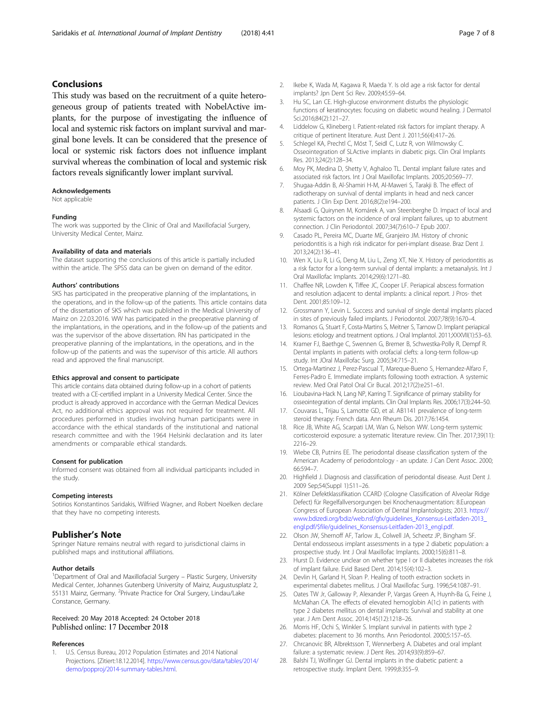### <span id="page-6-0"></span>Conclusions

This study was based on the recruitment of a quite heterogeneous group of patients treated with NobelActive implants, for the purpose of investigating the influence of local and systemic risk factors on implant survival and marginal bone levels. It can be considered that the presence of local or systemic risk factors does not influence implant survival whereas the combination of local and systemic risk factors reveals significantly lower implant survival.

#### Acknowledgements

Not applicable

#### Funding

The work was supported by the Clinic of Oral and Maxillofacial Surgery, University Medical Center, Mainz.

#### Availability of data and materials

The dataset supporting the conclusions of this article is partially included within the article. The SPSS data can be given on demand of the editor.

#### Authors' contributions

SKS has participated in the preoperative planning of the implantations, in the operations, and in the follow-up of the patients. This article contains data of the dissertation of SKS which was published in the Medical University of Mainz on 22.03.2016. WW has participated in the preoperative planning of the implantations, in the operations, and in the follow-up of the patients and was the supervisor of the above dissertation. RN has participated in the preoperative planning of the implantations, in the operations, and in the follow-up of the patients and was the supervisor of this article. All authors read and approved the final manuscript.

#### Ethics approval and consent to participate

This article contains data obtained during follow-up in a cohort of patients treated with a CE-certified implant in a University Medical Center. Since the product is already approved in accordance with the German Medical Devices Act, no additional ethics approval was not required for treatment. All procedures performed in studies involving human participants were in accordance with the ethical standards of the institutional and national research committee and with the 1964 Helsinki declaration and its later amendments or comparable ethical standards.

#### Consent for publication

Informed consent was obtained from all individual participants included in the study.

#### Competing interests

Sotirios Konstantinos Saridakis, Wilfried Wagner, and Robert Noelken declare that they have no competing interests.

#### Publisher's Note

Springer Nature remains neutral with regard to jurisdictional claims in published maps and institutional affiliations.

#### Author details

<sup>1</sup>Department of Oral and Maxillofacial Surgery - Plastic Surgery, University Medical Center, Johannes Gutenberg University of Mainz, Augustusplatz 2, 55131 Mainz, Germany. <sup>2</sup>Private Practice for Oral Surgery, Lindau/Lake Constance, Germany.

#### Received: 20 May 2018 Accepted: 24 October 2018 Published online: 17 December 2018

#### References

U.S. Census Bureau, 2012 Population Estimates and 2014 National Projections. [Zitiert:18.12.2014]. [https://www.census.gov/data/tables/2014/](https://www.census.gov/data/tables/2014/demo/popproj/2014-summary-tables.html) [demo/popproj/2014-summary-tables.html](https://www.census.gov/data/tables/2014/demo/popproj/2014-summary-tables.html).

- 2. Ikebe K, Wada M, Kagawa R, Maeda Y. Is old age a risk factor for dental implants? Jpn Dent Sci Rev. 2009;45:59–64.
- 3. Hu SC, Lan CE. High-glucose environment disturbs the physiologic functions of keratinocytes: focusing on diabetic wound healing. J Dermatol Sci.2016;84(2):121–27.
- 4. Liddelow G, Klineberg I. Patient-related risk factors for implant therapy. A critique of pertinent literature. Aust Dent J. 2011;56(4):417–26.
- 5. Schlegel KA, Prechtl C, Möst T, Seidl C, Lutz R, von Wilmowsky C. Osseointegration of SLActive implants in diabetic pigs. Clin Oral Implants Res. 2013;24(2):128–34.
- 6. Moy PK, Medina D, Shetty V, Aghaloo TL. Dental implant failure rates and associated risk factors. Int J Oral Maxillofac Implants. 2005;20:569–77.
- 7. Shugaa-Addin B, Al-Shamiri H-M, Al-Maweri S, Tarakji B. The effect of radiotherapy on survival of dental implants in head and neck cancer patients. J Clin Exp Dent. 2016;8(2):e194–200.
- 8. Alsaadi G, Quirynen M, Komárek A, van Steenberghe D. Impact of local and systemic factors on the incidence of oral implant failures, up to abutment connection. J Clin Periodontol. 2007;34(7):610–7 Epub 2007.
- 9. Casado PL, Pereira MC, Duarte ME, Granjeiro JM. History of chronic periodontitis is a high risk indicator for peri-implant disease. Braz Dent J. 2013;24(2):136–41.
- 10. Wen X, Liu R, Li G, Deng M, Liu L, Zeng XT, Nie X. History of periodontitis as a risk factor for a long-term survival of dental implants: a metaanalysis. Int J Oral Maxillofac Implants. 2014;29(6):1271–80.
- 11. Chaffee NR, Lowden K, Tiffee JC, Cooper LF. Periapical abscess formation and resolution adjacent to dental implants: a clinical report. J Pros- thet Dent. 2001;85:109–12.
- 12. Grossmann Y, Levin L. Success and survival of single dental implants placed in sites of previously failed implants. J Periodontol. 2007;78(9):1670–4.
- 13. Romanos G, Stuart F, Costa-Martins S, Meitner S, Tarnow D. Implant periapical lesions: etiology and treatment options. J Oral Implantol. 2011;XXXVII(1):53–63.
- 14. Kramer FJ, Baethge C, Swennen G, Bremer B, Schwestka-Polly R, Dempf R. Dental implants in patients with orofacial clefts: a long-term follow-up study. Int JOral Maxillofac Surg. 2005;34:715–21.
- 15. Ortega-Martinez J, Perez-Pascual T, Mareque-Bueno S, Hernandez-Alfaro F, Ferres-Padro E. Immediate implants following tooth extraction. A systemic review. Med Oral Patol Oral Cir Bucal. 2012;17(2):e251–61.
- 16. Lioubavina-Hack N, Lang NP, Karring T. Significance of primary stability for osseointegration of dental implants. Clin Oral Implants Res. 2006;17(3):244–50.
- 17. Couvaras L, Trijau S, Lamotte GD, et al. AB1141 prevalence of long-term steroid therapy: French data. Ann Rheum Dis. 2017;76:1454.
- 18. Rice JB, White AG, Scarpati LM, Wan G, Nelson WW. Long-term systemic corticosteroid exposure: a systematic literature review. Clin Ther. 2017;39(11): 2216–29.
- 19. Wiebe CB, Putnins EE. The periodontal disease classification system of the American Academy of periodontology - an update. J Can Dent Assoc. 2000; 66:594–7.
- 20. Highfield J. Diagnosis and classification of periodontal disease. Aust Dent J. 2009 Sep;54(Suppl 1):S11–26.
- 21. Kölner Defektklassifikation CCARD (Cologne Classification of Alveolar Ridge Defect) für Regelfallversorgungen bei Knochenaugmentation: 8.European Congress of European Association of Dental Implantologists; 2013. [https://](https://www.bdizedi.org/bdiz/web.nsf/gfx/guidelines_Konsensus-Leitfaden-2013_engl.pdf/$file/guidelines_Konsensus-Leitfaden-2013_engl.pdf) [www.bdizedi.org/bdiz/web.nsf/gfx/guidelines\\_Konsensus-Leitfaden-2013\\_](https://www.bdizedi.org/bdiz/web.nsf/gfx/guidelines_Konsensus-Leitfaden-2013_engl.pdf/$file/guidelines_Konsensus-Leitfaden-2013_engl.pdf) [engl.pdf/\\$file/guidelines\\_Konsensus-Leitfaden-2013\\_engl.pdf.](https://www.bdizedi.org/bdiz/web.nsf/gfx/guidelines_Konsensus-Leitfaden-2013_engl.pdf/$file/guidelines_Konsensus-Leitfaden-2013_engl.pdf)
- 22. Olson JW, Shernoff AF, Tarlow JL, Colwell JA, Scheetz JP, Bingham SF. Dental endosseous implant assessments in a type 2 diabetic population: a prospective study. Int J Oral Maxillofac Implants. 2000;15(6):811–8.
- 23. Hurst D. Evidence unclear on whether type I or II diabetes increases the risk of implant failure. Evid Based Dent. 2014;15(4):102–3.
- 24. Devlin H, Garland H, Sloan P. Healing of tooth extraction sockets in experimental diabetes mellitus. J Oral Maxillofac Surg. 1996;54:1087–91.
- 25. Oates TW Jr, Galloway P, Alexander P, Vargas Green A, Huynh-Ba G, Feine J, McMahan CA. The effects of elevated hemoglobin A(1c) in patients with type 2 diabetes mellitus on dental implants: Survival and stability at one year. J Am Dent Assoc. 2014;145(12):1218–26.
- 26. Morris HF, Ochi S, Winkler S. Implant survival in patients with type 2 diabetes: placement to 36 months. Ann Periodontol. 2000;5:157–65.
- 27. Chrcanovic BR, Albrektsson T, Wennerberg A. Diabetes and oral implant failure: a systematic review. J Dent Res. 2014;93(9):859–67.
- 28. Balshi TJ, Wolfinger GJ. Dental implants in the diabetic patient: a retrospective study. Implant Dent. 1999;8:355–9.